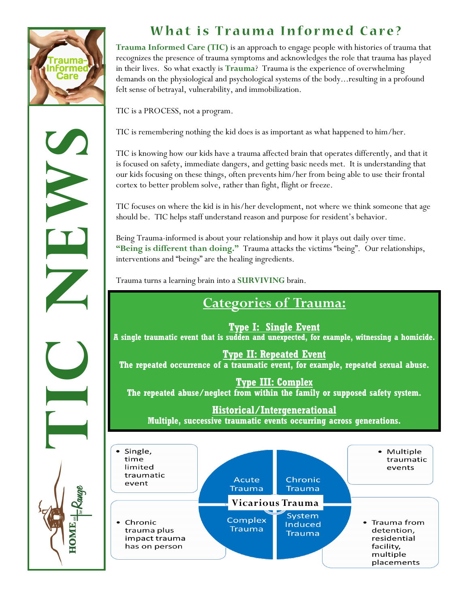

OME.

## What is Trauma Informed Care?

**Trauma Informed Care (TIC)** is an approach to engage people with histories of trauma that recognizes the presence of trauma symptoms and acknowledges the role that trauma has played in their lives. So what exactly is **Trauma**? Trauma is the experience of overwhelming demands on the physiological and psychological systems of the body...resulting in a profound felt sense of betrayal, vulnerability, and immobilization.

TIC is a PROCESS, not a program.

TIC is remembering nothing the kid does is as important as what happened to him/her.

TIC is knowing how our kids have a trauma affected brain that operates differently, and that it is focused on safety, immediate dangers, and getting basic needs met. It is understanding that our kids focusing on these things, often prevents him/her from being able to use their frontal cortex to better problem solve, rather than fight, flight or freeze.

TIC focuses on where the kid is in his/her development, not where we think someone that age should be. TIC helps staff understand reason and purpose for resident's behavior.

Being Trauma-informed is about your relationship and how it plays out daily over time. **"Being is different than doing."** Trauma attacks the victims "being". Our relationships, interventions and "beings" are the healing ingredients.

Trauma turns a learning brain into a **SURVIVING** brain.

## **Categories of Trauma:**

**Type I: Single Event A single traumatic event that is sudden and unexpected, for example, witnessing a homicide.** 

**Type II: Repeated Event The repeated occurrence of a traumatic event, for example, repeated sexual abuse.**

**Type III: Complex The repeated abuse/neglect from within the family or supposed safety system.**

**Historical/Intergenerational** 

**Multiple, successive traumatic events occurring across generations.**